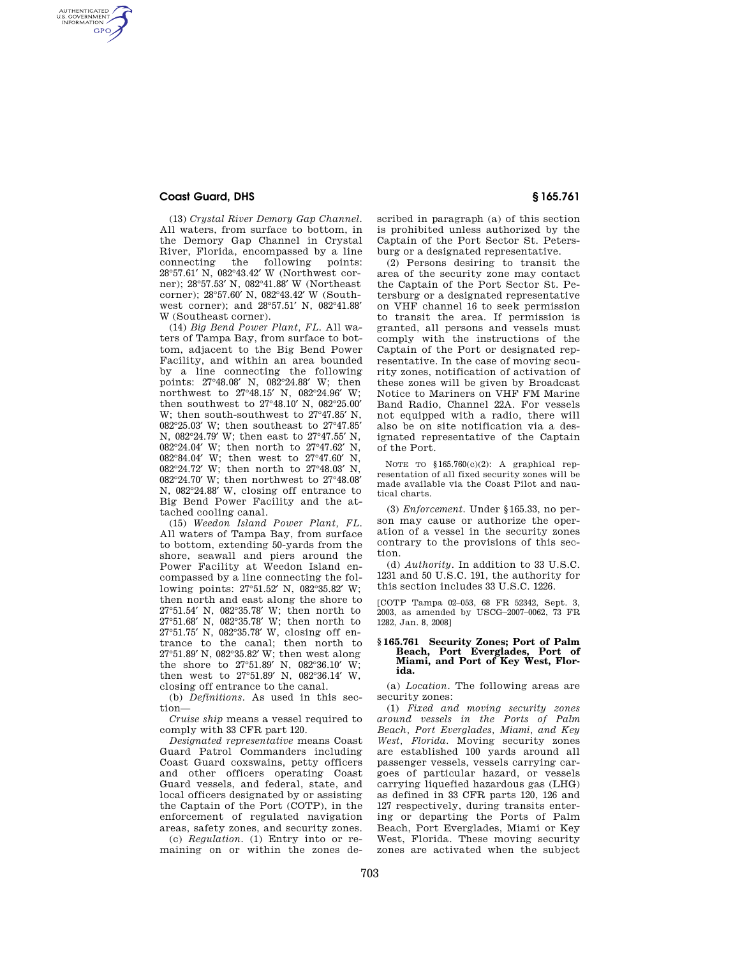## **Coast Guard, DHS § 165.761**

AUTHENTICATED<br>U.S. GOVERNMENT<br>INFORMATION **GPO** 

> (13) *Crystal River Demory Gap Channel.*  All waters, from surface to bottom, in the Demory Gap Channel in Crystal River, Florida, encompassed by a line<br>connecting the following points: following points: 28°57.61′ N, 082°43.42′ W (Northwest corner); 28°57.53′ N, 082°41.88′ W (Northeast corner); 28°57.60′ N, 082°43.42′ W (Southwest corner); and 28°57.51′ N, 082°41.88′ W (Southeast corner).

> (14) *Big Bend Power Plant, FL.* All waters of Tampa Bay, from surface to bottom, adjacent to the Big Bend Power Facility, and within an area bounded by a line connecting the following points: 27°48.08′ N, 082°24.88′ W; then northwest to 27°48.15′ N, 082°24.96′ W; then southwest to 27°48.10′ N, 082°25.00′ W; then south-southwest to 27°47.85′ N, 082°25.03′ W; then southeast to 27°47.85′ N, 082°24.79′ W; then east to 27°47.55′ N, 082°24.04′ W; then north to 27°47.62′ N, 082°84.04′ W; then west to 27°47.60′ N, 082°24.72′ W; then north to 27°48.03′ N, 082°24.70′ W; then northwest to 27°48.08′ N, 082°24.88′ W, closing off entrance to Big Bend Power Facility and the attached cooling canal.

> (15) *Weedon Island Power Plant, FL*. All waters of Tampa Bay, from surface to bottom, extending 50-yards from the shore, seawall and piers around the Power Facility at Weedon Island encompassed by a line connecting the following points: 27°51.52′ N, 082°35.82′ W; then north and east along the shore to 27°51.54′ N, 082°35.78′ W; then north to 27°51.68′ N, 082°35.78′ W; then north to 27°51.75′ N, 082°35.78′ W, closing off entrance to the canal; then north to 27°51.89′ N, 082°35.82′ W; then west along the shore to 27°51.89′ N, 082°36.10′ W; then west to 27°51.89′ N, 082°36.14′ W, closing off entrance to the canal.

(b) *Definitions.* As used in this section—

*Cruise ship* means a vessel required to comply with 33 CFR part 120.

*Designated representative* means Coast Guard Patrol Commanders including Coast Guard coxswains, petty officers and other officers operating Coast Guard vessels, and federal, state, and local officers designated by or assisting the Captain of the Port (COTP), in the enforcement of regulated navigation areas, safety zones, and security zones.

(c) *Regulation.* (1) Entry into or remaining on or within the zones de-

scribed in paragraph (a) of this section is prohibited unless authorized by the Captain of the Port Sector St. Petersburg or a designated representative.

(2) Persons desiring to transit the area of the security zone may contact the Captain of the Port Sector St. Petersburg or a designated representative on VHF channel 16 to seek permission to transit the area. If permission is granted, all persons and vessels must comply with the instructions of the Captain of the Port or designated representative. In the case of moving security zones, notification of activation of these zones will be given by Broadcast Notice to Mariners on VHF FM Marine Band Radio, Channel 22A. For vessels not equipped with a radio, there will also be on site notification via a designated representative of the Captain of the Port.

NOTE TO §165.760(c)(2): A graphical representation of all fixed security zones will be made available via the Coast Pilot and nautical charts.

(3) *Enforcement.* Under §165.33, no person may cause or authorize the operation of a vessel in the security zones contrary to the provisions of this section.

(d) *Authority.* In addition to 33 U.S.C. 1231 and 50 U.S.C. 191, the authority for this section includes 33 U.S.C. 1226.

[COTP Tampa 02–053, 68 FR 52342, Sept. 3, 2003, as amended by USCG–2007–0062, 73 FR 1282, Jan. 8, 2008]

#### **§ 165.761 Security Zones; Port of Palm Beach, Port Everglades, Port of Miami, and Port of Key West, Florida.**

(a) *Location.* The following areas are security zones:

(1) *Fixed and moving security zones around vessels in the Ports of Palm Beach, Port Everglades, Miami, and Key West, Florida.* Moving security zones are established 100 yards around all passenger vessels, vessels carrying cargoes of particular hazard, or vessels carrying liquefied hazardous gas (LHG) as defined in 33 CFR parts 120, 126 and 127 respectively, during transits entering or departing the Ports of Palm Beach, Port Everglades, Miami or Key West, Florida. These moving security zones are activated when the subject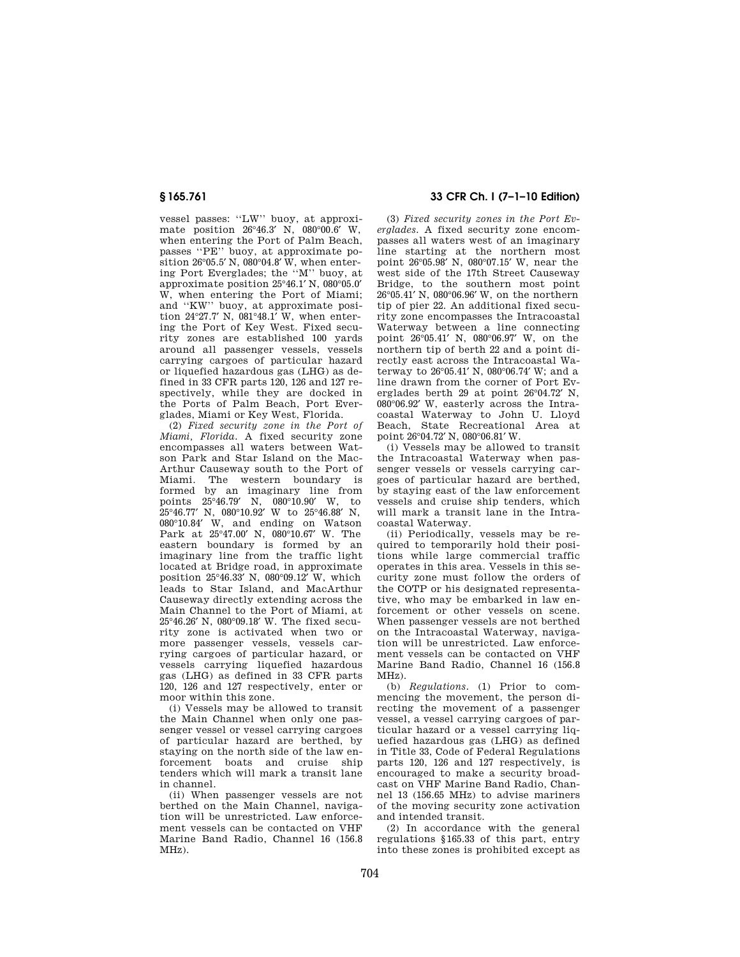vessel passes: ''LW'' buoy, at approximate position 26°46.3′ N, 080°00.6′ W, when entering the Port of Palm Beach, passes ''PE'' buoy, at approximate position 26°05.5′ N, 080°04.8′ W, when entering Port Everglades; the ''M'' buoy, at approximate position 25°46.1′ N, 080°05.0′ W, when entering the Port of Miami; and ''KW'' buoy, at approximate position 24°27.7′ N, 081°48.1′ W, when entering the Port of Key West. Fixed security zones are established 100 yards around all passenger vessels, vessels carrying cargoes of particular hazard or liquefied hazardous gas (LHG) as defined in 33 CFR parts 120, 126 and 127 respectively, while they are docked in the Ports of Palm Beach, Port Everglades, Miami or Key West, Florida.

(2) *Fixed security zone in the Port of Miami, Florida.* A fixed security zone encompasses all waters between Watson Park and Star Island on the Mac-Arthur Causeway south to the Port of Miami. The western boundary is formed by an imaginary line from points 25°46.79′ N, 080°10.90′ W, to 25°46.77′ N, 080°10.92′ W to 25°46.88′ N, 080°10.84′ W, and ending on Watson Park at 25°47.00′ N, 080°10.67′ W. The eastern boundary is formed by an imaginary line from the traffic light located at Bridge road, in approximate position 25°46.33′ N, 080°09.12′ W, which .<br>leads to Star Island, and MacArthur Causeway directly extending across the Main Channel to the Port of Miami, at 25°46.26′ N, 080°09.18′ W. The fixed security zone is activated when two or more passenger vessels, vessels carrying cargoes of particular hazard, or vessels carrying liquefied hazardous gas (LHG) as defined in 33 CFR parts 120, 126 and 127 respectively, enter or moor within this zone.

(i) Vessels may be allowed to transit the Main Channel when only one passenger vessel or vessel carrying cargoes of particular hazard are berthed, by staying on the north side of the law enforcement boats and cruise ship tenders which will mark a transit lane in channel.

(ii) When passenger vessels are not berthed on the Main Channel, navigation will be unrestricted. Law enforcement vessels can be contacted on VHF Marine Band Radio, Channel 16 (156.8 MHz).

# **§ 165.761 33 CFR Ch. I (7–1–10 Edition)**

(3) *Fixed security zones in the Port Everglades.* A fixed security zone encompasses all waters west of an imaginary line starting at the northern most point 26°05.98′ N, 080°07.15′ W, near the west side of the 17th Street Causeway Bridge, to the southern most point 26°05.41′ N, 080°06.96′ W, on the northern tip of pier 22. An additional fixed security zone encompasses the Intracoastal Waterway between a line connecting point 26°05.41′ N, 080°06.97′ W, on the northern tip of berth 22 and a point directly east across the Intracoastal Waterway to 26°05.41′ N, 080°06.74′ W; and a line drawn from the corner of Port Everglades berth 29 at point 26°04.72′ N, 080°06.92′ W, easterly across the Intracoastal Waterway to John U. Lloyd Beach, State Recreational Area at point 26°04.72′ N, 080°06.81′ W.

(i) Vessels may be allowed to transit the Intracoastal Waterway when passenger vessels or vessels carrying cargoes of particular hazard are berthed, by staying east of the law enforcement vessels and cruise ship tenders, which will mark a transit lane in the Intracoastal Waterway.

(ii) Periodically, vessels may be required to temporarily hold their positions while large commercial traffic operates in this area. Vessels in this security zone must follow the orders of the COTP or his designated representative, who may be embarked in law enforcement or other vessels on scene. When passenger vessels are not berthed on the Intracoastal Waterway, navigation will be unrestricted. Law enforcement vessels can be contacted on VHF Marine Band Radio, Channel 16 (156.8 MHz).

(b) *Regulations.* (1) Prior to commencing the movement, the person directing the movement of a passenger vessel, a vessel carrying cargoes of particular hazard or a vessel carrying liquefied hazardous gas (LHG) as defined in Title 33, Code of Federal Regulations parts 120, 126 and 127 respectively, is encouraged to make a security broadcast on VHF Marine Band Radio, Channel 13 (156.65 MHz) to advise mariners of the moving security zone activation and intended transit.

(2) In accordance with the general regulations §165.33 of this part, entry into these zones is prohibited except as